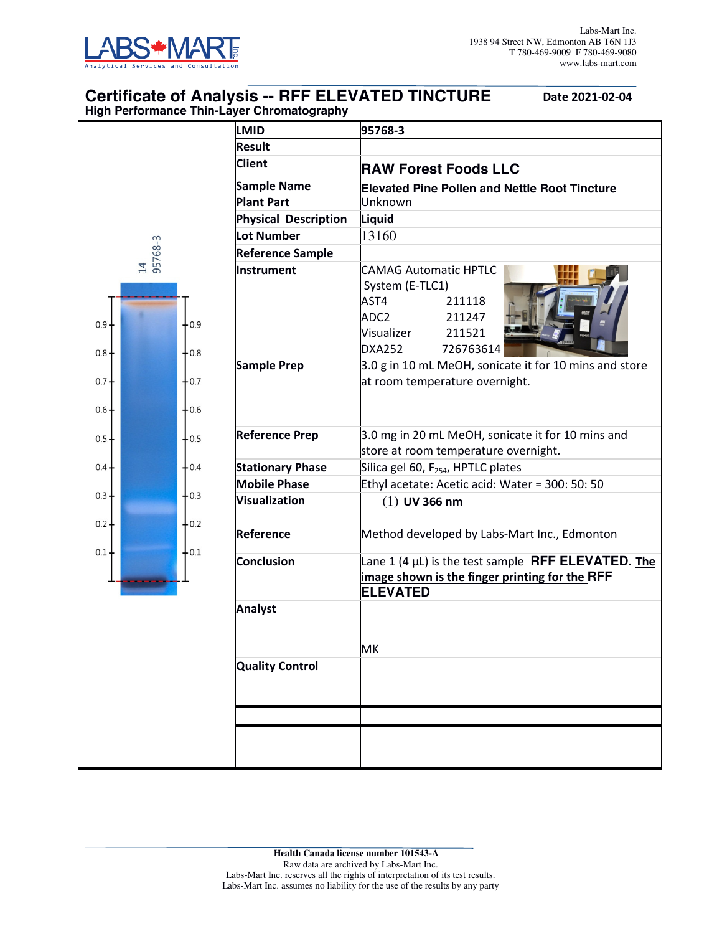

 $0.9$ 

 $0.8 -$ 

 $0.7$ 

 $0.6$ 

 $0.5 -$ 

 $0.4$ 

 $0.3$ 

 $0.2 -$ 

 $0.1$ 

## **Certificate of Analysis -- RFF ELEVATED TINCTURE** Date 2021-02-04 **High Performance Thin-Layer Chromatography**

|                  | <b>LMID</b>                 | 95768-3                                                                                                                                               |  |  |  |
|------------------|-----------------------------|-------------------------------------------------------------------------------------------------------------------------------------------------------|--|--|--|
|                  | <b>Result</b>               |                                                                                                                                                       |  |  |  |
|                  | <b>Client</b>               | <b>RAW Forest Foods LLC</b>                                                                                                                           |  |  |  |
|                  | <b>Sample Name</b>          | <b>Elevated Pine Pollen and Nettle Root Tincture</b>                                                                                                  |  |  |  |
|                  | <b>Plant Part</b>           | Unknown                                                                                                                                               |  |  |  |
|                  | <b>Physical Description</b> | <b>Liquid</b>                                                                                                                                         |  |  |  |
|                  | <b>Lot Number</b>           | 13160                                                                                                                                                 |  |  |  |
| 14<br>95768-3    | <b>Reference Sample</b>     |                                                                                                                                                       |  |  |  |
| $+0.9$<br>$+0.8$ | Instrument                  | <b>CAMAG Automatic HPTLC</b><br>System (E-TLC1)<br>AST4<br>211118<br>ADC <sub>2</sub><br>211247<br>Visualizer<br>211521<br><b>DXA252</b><br>726763614 |  |  |  |
| $+0.7$<br>$+0.6$ | Sample Prep                 | 3.0 g in 10 mL MeOH, sonicate it for 10 mins and store<br>at room temperature overnight.                                                              |  |  |  |
| $+0.5$           | <b>Reference Prep</b>       | 3.0 mg in 20 mL MeOH, sonicate it for 10 mins and<br>store at room temperature overnight.<br>Silica gel 60, F <sub>254</sub> , HPTLC plates           |  |  |  |
| $+0.4$           | <b>Stationary Phase</b>     |                                                                                                                                                       |  |  |  |
|                  | <b>Mobile Phase</b>         | Ethyl acetate: Acetic acid: Water = 300: 50: 50                                                                                                       |  |  |  |
| $+0.3$           | <b>Visualization</b>        | $(1)$ UV 366 nm                                                                                                                                       |  |  |  |
| $+0.2$<br>$+0.1$ | Reference                   | Method developed by Labs-Mart Inc., Edmonton                                                                                                          |  |  |  |
|                  | <b>Conclusion</b>           | Lane 1 (4 $\mu$ L) is the test sample <b>RFF ELEVATED.</b> The<br>image shown is the finger printing for the RFF<br><b>ELEVATED</b>                   |  |  |  |
|                  | <b>Analyst</b>              |                                                                                                                                                       |  |  |  |
|                  | <b>Quality Control</b>      | МK                                                                                                                                                    |  |  |  |
|                  |                             |                                                                                                                                                       |  |  |  |